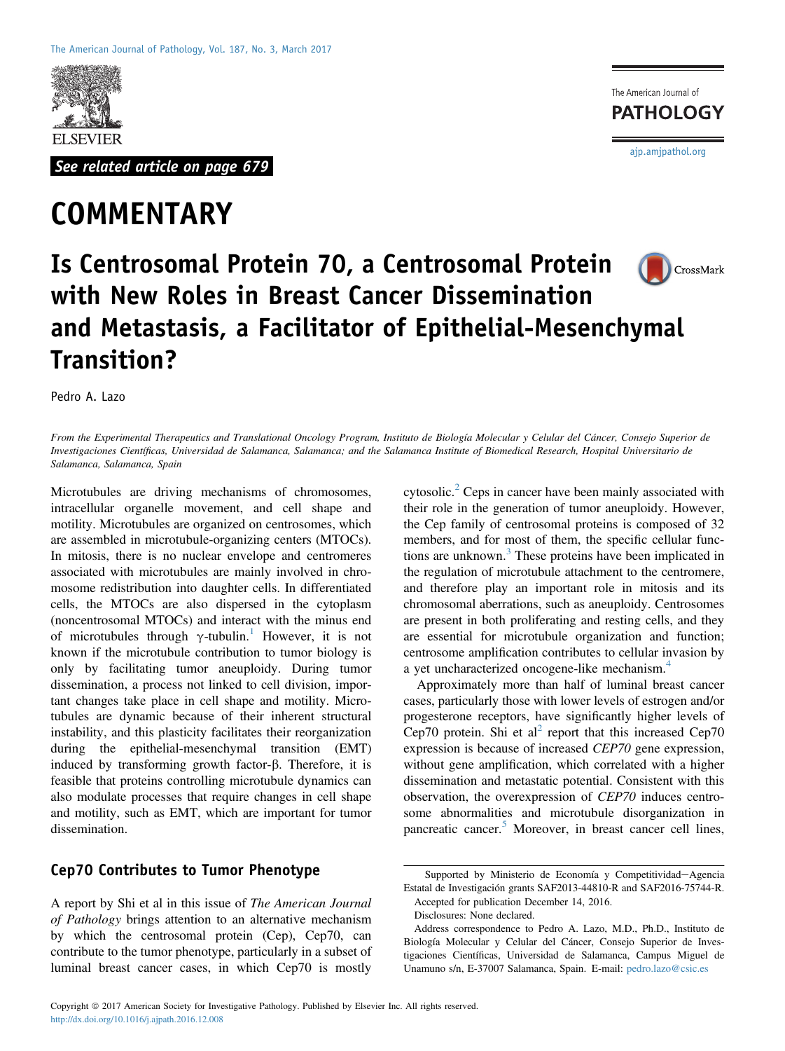

See related article on page 679

# **COMMENTARY**

The American Journal of **PATHOLOGY** [ajp.amjpathol.org](http://ajp.amjpathol.org)



# Is Centrosomal Protein 70, a Centrosomal Protein with New Roles in Breast Cancer Dissemination and Metastasis, a Facilitator of Epithelial-Mesenchymal Transition?

Pedro A. Lazo

From the Experimental Therapeutics and Translational Oncology Program, Instituto de Biología Molecular y Celular del Cáncer, Consejo Superior de Investigaciones Científicas, Universidad de Salamanca, Salamanca; and the Salamanca Institute of Biomedical Research, Hospital Universitario de Salamanca, Salamanca, Spain

Microtubules are driving mechanisms of chromosomes, intracellular organelle movement, and cell shape and motility. Microtubules are organized on centrosomes, which are assembled in microtubule-organizing centers (MTOCs). In mitosis, there is no nuclear envelope and centromeres associated with microtubules are mainly involved in chromosome redistribution into daughter cells. In differentiated cells, the MTOCs are also dispersed in the cytoplasm (noncentrosomal MTOCs) and interact with the minus end of microtubules through  $\gamma$ -tubulin.<sup>[1](#page-2-0)</sup> However, it is not known if the microtubule contribution to tumor biology is only by facilitating tumor aneuploidy. During tumor dissemination, a process not linked to cell division, important changes take place in cell shape and motility. Microtubules are dynamic because of their inherent structural instability, and this plasticity facilitates their reorganization during the epithelial-mesenchymal transition (EMT) induced by transforming growth factor- $\beta$ . Therefore, it is feasible that proteins controlling microtubule dynamics can also modulate processes that require changes in cell shape and motility, such as EMT, which are important for tumor dissemination.

# Cep70 Contributes to Tumor Phenotype

A report by Shi et al in this issue of The American Journal of Pathology brings attention to an alternative mechanism by which the centrosomal protein (Cep), Cep70, can contribute to the tumor phenotype, particularly in a subset of luminal breast cancer cases, in which Cep70 is mostly

cytosolic.<sup>[2](#page-2-1)</sup> Ceps in cancer have been mainly associated with their role in the generation of tumor aneuploidy. However, the Cep family of centrosomal proteins is composed of 32 members, and for most of them, the specific cellular func-tions are unknown.<sup>[3](#page-2-2)</sup> These proteins have been implicated in the regulation of microtubule attachment to the centromere, and therefore play an important role in mitosis and its chromosomal aberrations, such as aneuploidy. Centrosomes are present in both proliferating and resting cells, and they are essential for microtubule organization and function; centrosome amplification contributes to cellular invasion by a yet uncharacterized oncogene-like mechanism.<sup>[4](#page-2-3)</sup>

Approximately more than half of luminal breast cancer cases, particularly those with lower levels of estrogen and/or progesterone receptors, have significantly higher levels of Cep70 protein. Shi et  $al^2$  $al^2$  report that this increased Cep70 expression is because of increased CEP70 gene expression, without gene amplification, which correlated with a higher dissemination and metastatic potential. Consistent with this observation, the overexpression of CEP70 induces centrosome abnormalities and microtubule disorganization in pancreatic cancer.<sup>[5](#page-2-4)</sup> Moreover, in breast cancer cell lines,

Supported by Ministerio de Economía y Competitividad-Agencia Estatal de Investigación grants SAF2013-44810-R and SAF2016-75744-R. Accepted for publication December 14, 2016.

Disclosures: None declared.

Address correspondence to Pedro A. Lazo, M.D., Ph.D., Instituto de Biología Molecular y Celular del Cáncer, Consejo Superior de Investigaciones Científicas, Universidad de Salamanca, Campus Miguel de Unamuno s/n, E-37007 Salamanca, Spain. E-mail: [pedro.lazo@csic.es](mailto:pedro.lazo@csic.es)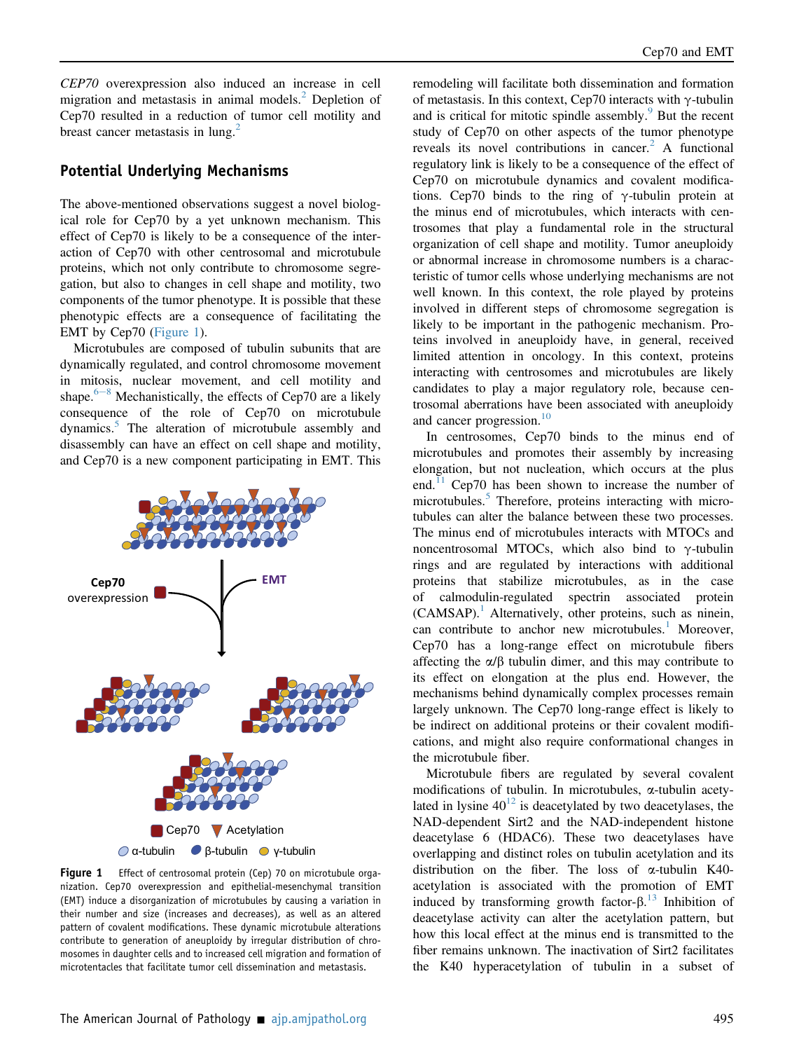CEP70 overexpression also induced an increase in cell migration and metastasis in animal models. $<sup>2</sup>$  $<sup>2</sup>$  $<sup>2</sup>$  Depletion of</sup> Cep70 resulted in a reduction of tumor cell motility and breast cancer metastasis in lung.<sup>[2](#page-2-1)</sup>

#### Potential Underlying Mechanisms

The above-mentioned observations suggest a novel biological role for Cep70 by a yet unknown mechanism. This effect of Cep70 is likely to be a consequence of the interaction of Cep70 with other centrosomal and microtubule proteins, which not only contribute to chromosome segregation, but also to changes in cell shape and motility, two components of the tumor phenotype. It is possible that these phenotypic effects are a consequence of facilitating the EMT by Cep70 ([Figure 1\)](#page-1-0).

Microtubules are composed of tubulin subunits that are dynamically regulated, and control chromosome movement in mitosis, nuclear movement, and cell motility and shape. $6-8$  $6-8$  $6-8$  Mechanistically, the effects of Cep70 are a likely consequence of the role of Cep70 on microtubule dynamics.<sup>[5](#page-2-4)</sup> The alteration of microtubule assembly and disassembly can have an effect on cell shape and motility, and Cep70 is a new component participating in EMT. This

<span id="page-1-0"></span>

Figure 1 Effect of centrosomal protein (Cep) 70 on microtubule organization. Cep70 overexpression and epithelial-mesenchymal transition (EMT) induce a disorganization of microtubules by causing a variation in their number and size (increases and decreases), as well as an altered pattern of covalent modifications. These dynamic microtubule alterations contribute to generation of aneuploidy by irregular distribution of chromosomes in daughter cells and to increased cell migration and formation of microtentacles that facilitate tumor cell dissemination and metastasis.

remodeling will facilitate both dissemination and formation of metastasis. In this context, Cep70 interacts with  $\gamma$ -tubulin and is critical for mitotic spindle assembly. $\frac{9}{5}$  $\frac{9}{5}$  $\frac{9}{5}$  But the recent study of Cep70 on other aspects of the tumor phenotype reveals its novel contributions in cancer.<sup>[2](#page-2-1)</sup> A functional regulatory link is likely to be a consequence of the effect of Cep70 on microtubule dynamics and covalent modifications. Cep70 binds to the ring of  $\gamma$ -tubulin protein at the minus end of microtubules, which interacts with centrosomes that play a fundamental role in the structural organization of cell shape and motility. Tumor aneuploidy or abnormal increase in chromosome numbers is a characteristic of tumor cells whose underlying mechanisms are not well known. In this context, the role played by proteins involved in different steps of chromosome segregation is likely to be important in the pathogenic mechanism. Proteins involved in aneuploidy have, in general, received limited attention in oncology. In this context, proteins interacting with centrosomes and microtubules are likely candidates to play a major regulatory role, because centrosomal aberrations have been associated with aneuploidy and cancer progression.<sup>[10](#page-3-1)</sup>

In centrosomes, Cep70 binds to the minus end of microtubules and promotes their assembly by increasing elongation, but not nucleation, which occurs at the plus end. $^{11}$  $^{11}$  $^{11}$  Cep70 has been shown to increase the number of microtubules.<sup>[5](#page-2-4)</sup> Therefore, proteins interacting with microtubules can alter the balance between these two processes. The minus end of microtubules interacts with MTOCs and noncentrosomal MTOCs, which also bind to  $\gamma$ -tubulin rings and are regulated by interactions with additional proteins that stabilize microtubules, as in the case of calmodulin-regulated spectrin associated protein  $(CAMSAP)$ .<sup>[1](#page-2-0)</sup> Alternatively, other proteins, such as ninein, can contribute to anchor new microtubules. $<sup>1</sup>$  $<sup>1</sup>$  $<sup>1</sup>$  Moreover,</sup> Cep70 has a long-range effect on microtubule fibers affecting the  $\alpha/\beta$  tubulin dimer, and this may contribute to its effect on elongation at the plus end. However, the mechanisms behind dynamically complex processes remain largely unknown. The Cep70 long-range effect is likely to be indirect on additional proteins or their covalent modifications, and might also require conformational changes in the microtubule fiber.

Microtubule fibers are regulated by several covalent modifications of tubulin. In microtubules, a-tubulin acetylated in lysine  $40^{12}$  $40^{12}$  $40^{12}$  is deacetylated by two deacetylases, the NAD-dependent Sirt2 and the NAD-independent histone deacetylase 6 (HDAC6). These two deacetylases have overlapping and distinct roles on tubulin acetylation and its distribution on the fiber. The loss of a-tubulin K40 acetylation is associated with the promotion of EMT induced by transforming growth factor- $\beta$ .<sup>[13](#page-3-4)</sup> Inhibition of degrety later the acetylation pattern but deacetylase activity can alter the acetylation pattern, but how this local effect at the minus end is transmitted to the fiber remains unknown. The inactivation of Sirt2 facilitates the K40 hyperacetylation of tubulin in a subset of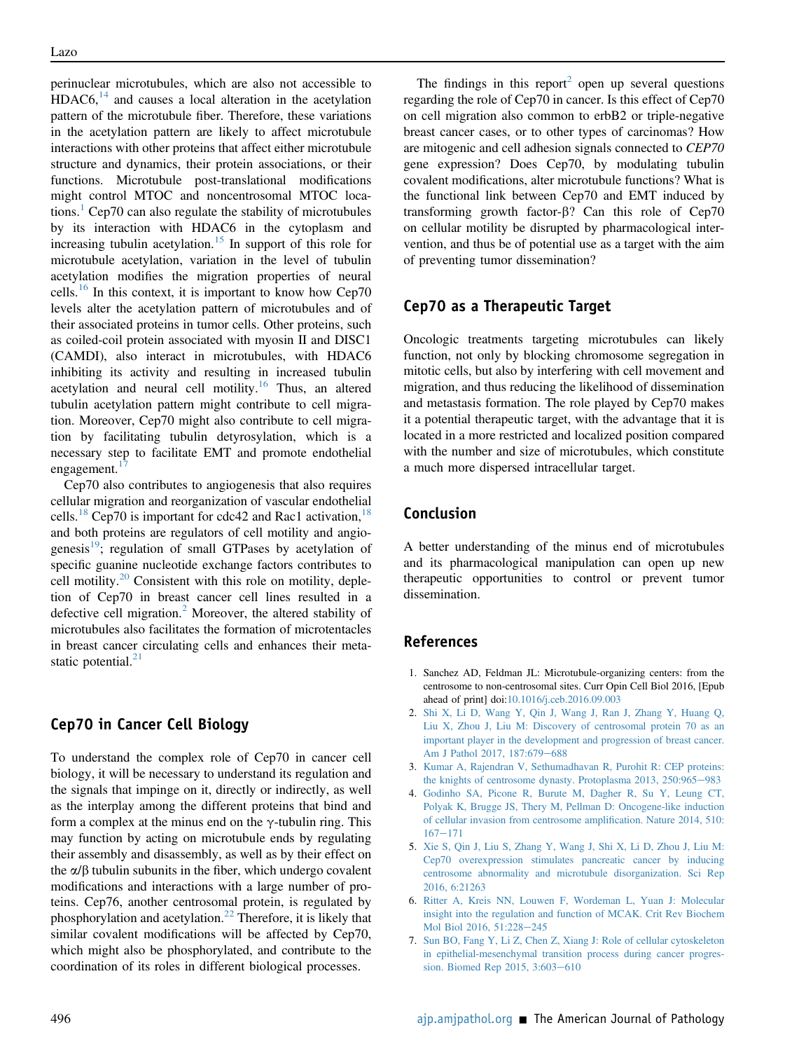perinuclear microtubules, which are also not accessible to  $HDAC6<sup>14</sup>$  $HDAC6<sup>14</sup>$  $HDAC6<sup>14</sup>$  and causes a local alteration in the acetylation pattern of the microtubule fiber. Therefore, these variations in the acetylation pattern are likely to affect microtubule interactions with other proteins that affect either microtubule structure and dynamics, their protein associations, or their functions. Microtubule post-translational modifications might control MTOC and noncentrosomal MTOC locations. $\frac{1}{1}$  $\frac{1}{1}$  $\frac{1}{1}$  Cep70 can also regulate the stability of microtubules by its interaction with HDAC6 in the cytoplasm and increasing tubulin acetylation.<sup>[15](#page-3-6)</sup> In support of this role for microtubule acetylation, variation in the level of tubulin acetylation modifies the migration properties of neural cells.[16](#page-3-7) In this context, it is important to know how Cep70 levels alter the acetylation pattern of microtubules and of their associated proteins in tumor cells. Other proteins, such as coiled-coil protein associated with myosin II and DISC1 (CAMDI), also interact in microtubules, with HDAC6 inhibiting its activity and resulting in increased tubulin acetylation and neural cell motility.<sup>[16](#page-3-7)</sup> Thus, an altered tubulin acetylation pattern might contribute to cell migration. Moreover, Cep70 might also contribute to cell migration by facilitating tubulin detyrosylation, which is a necessary step to facilitate EMT and promote endothelial engagement.

Cep70 also contributes to angiogenesis that also requires cellular migration and reorganization of vascular endothelial cells.<sup>[18](#page-3-9)</sup> Cep70 is important for cdc42 and Rac1 activation,  $18$ and both proteins are regulators of cell motility and angio-genesis<sup>[19](#page-3-10)</sup>; regulation of small GTPases by acetylation of specific guanine nucleotide exchange factors contributes to cell motility. $20$  Consistent with this role on motility, depletion of Cep70 in breast cancer cell lines resulted in a defective cell migration.<sup>[2](#page-2-1)</sup> Moreover, the altered stability of microtubules also facilitates the formation of microtentacles in breast cancer circulating cells and enhances their metastatic potential. $21$ 

#### Cep70 in Cancer Cell Biology

To understand the complex role of Cep70 in cancer cell biology, it will be necessary to understand its regulation and the signals that impinge on it, directly or indirectly, as well as the interplay among the different proteins that bind and form a complex at the minus end on the  $\gamma$ -tubulin ring. This may function by acting on microtubule ends by regulating their assembly and disassembly, as well as by their effect on the  $\alpha/\beta$  tubulin subunits in the fiber, which undergo covalent modifications and interactions with a large number of proteins. Cep76, another centrosomal protein, is regulated by phosphorylation and acetylation.[22](#page-3-13) Therefore, it is likely that similar covalent modifications will be affected by Cep70, which might also be phosphorylated, and contribute to the coordination of its roles in different biological processes.

The findings in this report<sup>[2](#page-2-1)</sup> open up several questions regarding the role of Cep70 in cancer. Is this effect of Cep70 on cell migration also common to erbB2 or triple-negative breast cancer cases, or to other types of carcinomas? How are mitogenic and cell adhesion signals connected to CEP70 gene expression? Does Cep70, by modulating tubulin covalent modifications, alter microtubule functions? What is the functional link between Cep70 and EMT induced by transforming growth factor- $\beta$ ? Can this role of Cep70 on cellular motility be disrupted by pharmacological intervention, and thus be of potential use as a target with the aim of preventing tumor dissemination?

### Cep70 as a Therapeutic Target

Oncologic treatments targeting microtubules can likely function, not only by blocking chromosome segregation in mitotic cells, but also by interfering with cell movement and migration, and thus reducing the likelihood of dissemination and metastasis formation. The role played by Cep70 makes it a potential therapeutic target, with the advantage that it is located in a more restricted and localized position compared with the number and size of microtubules, which constitute a much more dispersed intracellular target.

# Conclusion

A better understanding of the minus end of microtubules and its pharmacological manipulation can open up new therapeutic opportunities to control or prevent tumor dissemination.

#### <span id="page-2-0"></span>References

- <span id="page-2-1"></span>1. Sanchez AD, Feldman JL: Microtubule-organizing centers: from the centrosome to non-centrosomal sites. Curr Opin Cell Biol 2016, [Epub ahead of print] doi[:10.1016/j.ceb.2016.09.003](http://10.1016/j.ceb.2016.09.003)
- <span id="page-2-2"></span>2. [Shi X, Li D, Wang Y, Qin J, Wang J, Ran J, Zhang Y, Huang Q,](http://refhub.elsevier.com/S0002-9440(17)30042-1/sref2) [Liu X, Zhou J, Liu M: Discovery of centrosomal protein 70 as an](http://refhub.elsevier.com/S0002-9440(17)30042-1/sref2) [important player in the development and progression of breast cancer.](http://refhub.elsevier.com/S0002-9440(17)30042-1/sref2) [Am J Pathol 2017, 187:679](http://refhub.elsevier.com/S0002-9440(17)30042-1/sref2)-[688](http://refhub.elsevier.com/S0002-9440(17)30042-1/sref2)
- <span id="page-2-3"></span>3. [Kumar A, Rajendran V, Sethumadhavan R, Purohit R: CEP proteins:](http://refhub.elsevier.com/S0002-9440(17)30042-1/sref3) [the knights of centrosome dynasty. Protoplasma 2013, 250:965](http://refhub.elsevier.com/S0002-9440(17)30042-1/sref3)-[983](http://refhub.elsevier.com/S0002-9440(17)30042-1/sref3)
- <span id="page-2-4"></span>4. [Godinho SA, Picone R, Burute M, Dagher R, Su Y, Leung CT,](http://refhub.elsevier.com/S0002-9440(17)30042-1/sref4) [Polyak K, Brugge JS, Thery M, Pellman D: Oncogene-like induction](http://refhub.elsevier.com/S0002-9440(17)30042-1/sref4) [of cellular invasion from centrosome ampli](http://refhub.elsevier.com/S0002-9440(17)30042-1/sref4)fication. Nature 2014, 510:  $167 - 171$  $167 - 171$  $167 - 171$
- <span id="page-2-5"></span>5. [Xie S, Qin J, Liu S, Zhang Y, Wang J, Shi X, Li D, Zhou J, Liu M:](http://refhub.elsevier.com/S0002-9440(17)30042-1/sref5) [Cep70 overexpression stimulates pancreatic cancer by inducing](http://refhub.elsevier.com/S0002-9440(17)30042-1/sref5) [centrosome abnormality and microtubule disorganization. Sci Rep](http://refhub.elsevier.com/S0002-9440(17)30042-1/sref5) [2016, 6:21263](http://refhub.elsevier.com/S0002-9440(17)30042-1/sref5)
- 6. [Ritter A, Kreis NN, Louwen F, Wordeman L, Yuan J: Molecular](http://refhub.elsevier.com/S0002-9440(17)30042-1/sref6) [insight into the regulation and function of MCAK. Crit Rev Biochem](http://refhub.elsevier.com/S0002-9440(17)30042-1/sref6) [Mol Biol 2016, 51:228](http://refhub.elsevier.com/S0002-9440(17)30042-1/sref6)-[245](http://refhub.elsevier.com/S0002-9440(17)30042-1/sref6)
- 7. [Sun BO, Fang Y, Li Z, Chen Z, Xiang J: Role of cellular cytoskeleton](http://refhub.elsevier.com/S0002-9440(17)30042-1/sref7) [in epithelial-mesenchymal transition process during cancer progres](http://refhub.elsevier.com/S0002-9440(17)30042-1/sref7)sion. Biomed Rep 2015,  $3:603-610$  $3:603-610$